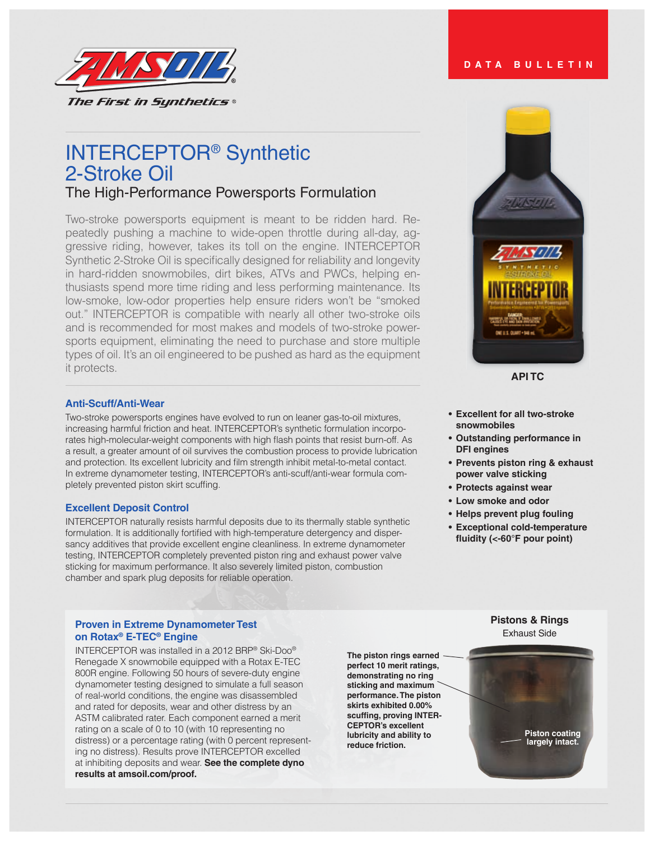

# INTERCEPTOR® Synthetic 2-Stroke Oil The High-Performance Powersports Formulation

Two-stroke powersports equipment is meant to be ridden hard. Repeatedly pushing a machine to wide-open throttle during all-day, aggressive riding, however, takes its toll on the engine. INTERCEPTOR Synthetic 2-Stroke Oil is specifically designed for reliability and longevity in hard-ridden snowmobiles, dirt bikes, ATVs and PWCs, helping enthusiasts spend more time riding and less performing maintenance. Its low-smoke, low-odor properties help ensure riders won't be "smoked out." INTERCEPTOR is compatible with nearly all other two-stroke oils and is recommended for most makes and models of two-stroke powersports equipment, eliminating the need to purchase and store multiple types of oil. It's an oil engineered to be pushed as hard as the equipment it protects.

### **Anti-Scuff/Anti-Wear**

Two-stroke powersports engines have evolved to run on leaner gas-to-oil mixtures, increasing harmful friction and heat. INTERCEPTOR's synthetic formulation incorporates high-molecular-weight components with high flash points that resist burn-off. As a result, a greater amount of oil survives the combustion process to provide lubrication and protection. Its excellent lubricity and film strength inhibit metal-to-metal contact. In extreme dynamometer testing, INTERCEPTOR's anti-scuff/anti-wear formula completely prevented piston skirt scuffing.

#### **Excellent Deposit Control**

INTERCEPTOR naturally resists harmful deposits due to its thermally stable synthetic formulation. It is additionally fortified with high-temperature detergency and dispersancy additives that provide excellent engine cleanliness. In extreme dynamometer testing, INTERCEPTOR completely prevented piston ring and exhaust power valve sticking for maximum performance. It also severely limited piston, combustion chamber and spark plug deposits for reliable operation.

### **Proven in Extreme Dynamometer Test on Rotax® E-TEC® Engine**

INTERCEPTOR was installed in a 2012 BRP® Ski-Doo® Renegade X snowmobile equipped with a Rotax E-TEC 800R engine. Following 50 hours of severe-duty engine dynamometer testing designed to simulate a full season of real-world conditions, the engine was disassembled and rated for deposits, wear and other distress by an ASTM calibrated rater. Each component earned a merit rating on a scale of 0 to 10 (with 10 representing no distress) or a percentage rating (with 0 percent representing no distress). Results prove INTERCEPTOR excelled at inhibiting deposits and wear. **See the complete dyno results at amsoil.com/proof.**

**The piston rings earned**  perfect 10 merit ratings, **demonstrating no ring sticking and maximum performance. The piston**  skirts exhibited 0.00% scuffing, proving **INTER-CEPTOR's excellent lubricity** and ability to **reduce friction.**



**DATA BULLETIN**

#### **API TC**

- **• Excellent for all two-stroke snowmobiles**
- **• Outstanding performance in DFI engines**
- **• Prevents piston ring & exhaust power valve sticking**
- **• Protects against wear**
- **• Low smoke and odor**
- **• Helps prevent plug fouling**
- **• Exceptional cold-temperature fluidity (<-60°F pour point)**

### **Pistons & Rings** Exhaust Side